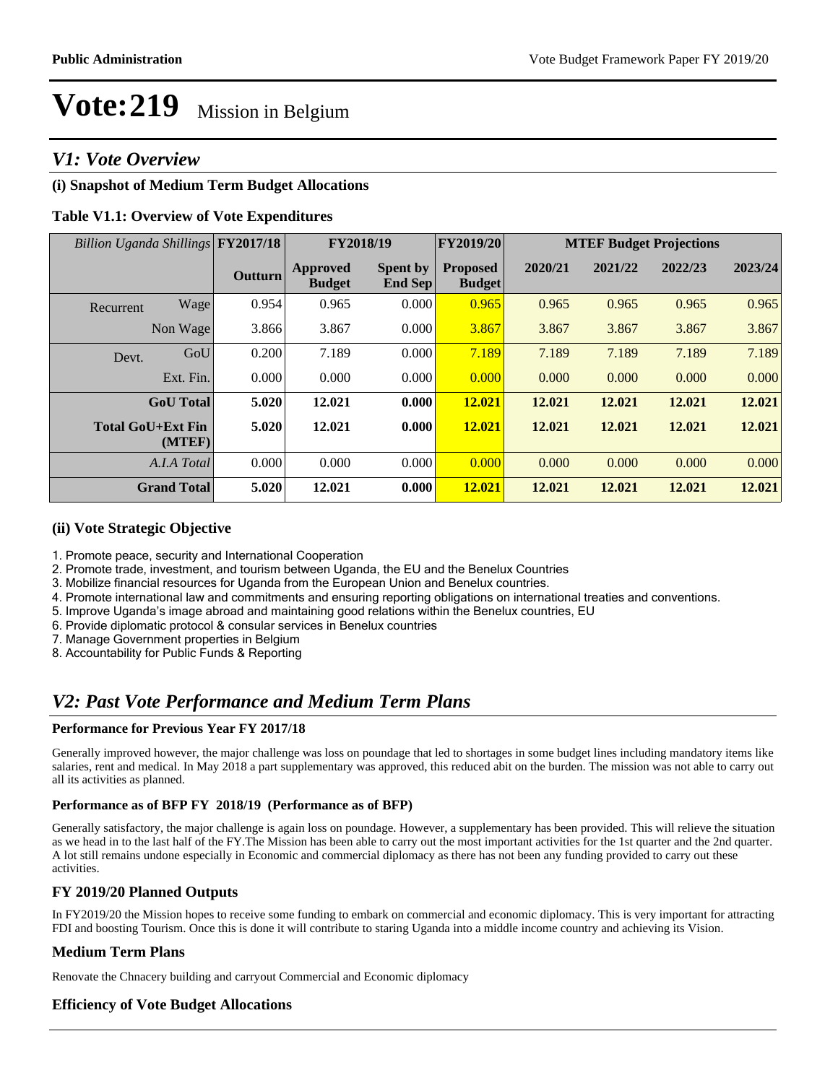### *V1: Vote Overview*

#### **(i) Snapshot of Medium Term Budget Allocations**

#### **Table V1.1: Overview of Vote Expenditures**

| Billion Uganda Shillings FY2017/18 |                    |                | FY2018/19                 |                                   | FY2019/20                        | <b>MTEF Budget Projections</b> |         |         |         |
|------------------------------------|--------------------|----------------|---------------------------|-----------------------------------|----------------------------------|--------------------------------|---------|---------|---------|
|                                    |                    | <b>Outturn</b> | Approved<br><b>Budget</b> | <b>Spent by</b><br><b>End Sep</b> | <b>Proposed</b><br><b>Budget</b> | 2020/21                        | 2021/22 | 2022/23 | 2023/24 |
| Recurrent                          | Wage               | 0.954          | 0.965                     | 0.000                             | 0.965                            | 0.965                          | 0.965   | 0.965   | 0.965   |
|                                    | Non Wage           | 3.866          | 3.867                     | 0.000                             | 3.867                            | 3.867                          | 3.867   | 3.867   | 3.867   |
| Devt.                              | GoU                | 0.200          | 7.189                     | 0.000                             | 7.189                            | 7.189                          | 7.189   | 7.189   | 7.189   |
|                                    | Ext. Fin.          | 0.000          | 0.000                     | 0.000                             | 0.000                            | 0.000                          | 0.000   | 0.000   | 0.000   |
|                                    | <b>GoU</b> Total   | 5.020          | 12.021                    | 0.000                             | 12.021                           | 12.021                         | 12.021  | 12.021  | 12.021  |
| <b>Total GoU+Ext Fin</b>           | (MTEF)             | 5.020          | 12.021                    | 0.000                             | 12.021                           | 12.021                         | 12.021  | 12.021  | 12.021  |
|                                    | A.I.A Total        | 0.000          | 0.000                     | 0.000                             | 0.000                            | 0.000                          | 0.000   | 0.000   | 0.000   |
|                                    | <b>Grand Total</b> | 5.020          | 12.021                    | 0.000                             | 12.021                           | 12.021                         | 12.021  | 12.021  | 12.021  |

#### **(ii) Vote Strategic Objective**

- 1. Promote peace, security and International Cooperation
- 2. Promote trade, investment, and tourism between Uganda, the EU and the Benelux Countries
- 3. Mobilize financial resources for Uganda from the European Union and Benelux countries.
- 4. Promote international law and commitments and ensuring reporting obligations on international treaties and conventions.
- 5. Improve Uganda's image abroad and maintaining good relations within the Benelux countries, EU
- 6. Provide diplomatic protocol & consular services in Benelux countries
- 7. Manage Government properties in Belgium
- 8. Accountability for Public Funds & Reporting

### *V2: Past Vote Performance and Medium Term Plans*

#### **Performance for Previous Year FY 2017/18**

Generally improved however, the major challenge was loss on poundage that led to shortages in some budget lines including mandatory items like salaries, rent and medical. In May 2018 a part supplementary was approved, this reduced abit on the burden. The mission was not able to carry out all its activities as planned.

#### **Performance as of BFP FY 2018/19 (Performance as of BFP)**

Generally satisfactory, the major challenge is again loss on poundage. However, a supplementary has been provided. This will relieve the situation as we head in to the last half of the FY.The Mission has been able to carry out the most important activities for the 1st quarter and the 2nd quarter. A lot still remains undone especially in Economic and commercial diplomacy as there has not been any funding provided to carry out these activities.

#### **FY 2019/20 Planned Outputs**

In FY2019/20 the Mission hopes to receive some funding to embark on commercial and economic diplomacy. This is very important for attracting FDI and boosting Tourism. Once this is done it will contribute to staring Uganda into a middle income country and achieving its Vision.

#### **Medium Term Plans**

Renovate the Chnacery building and carryout Commercial and Economic diplomacy

#### **Efficiency of Vote Budget Allocations**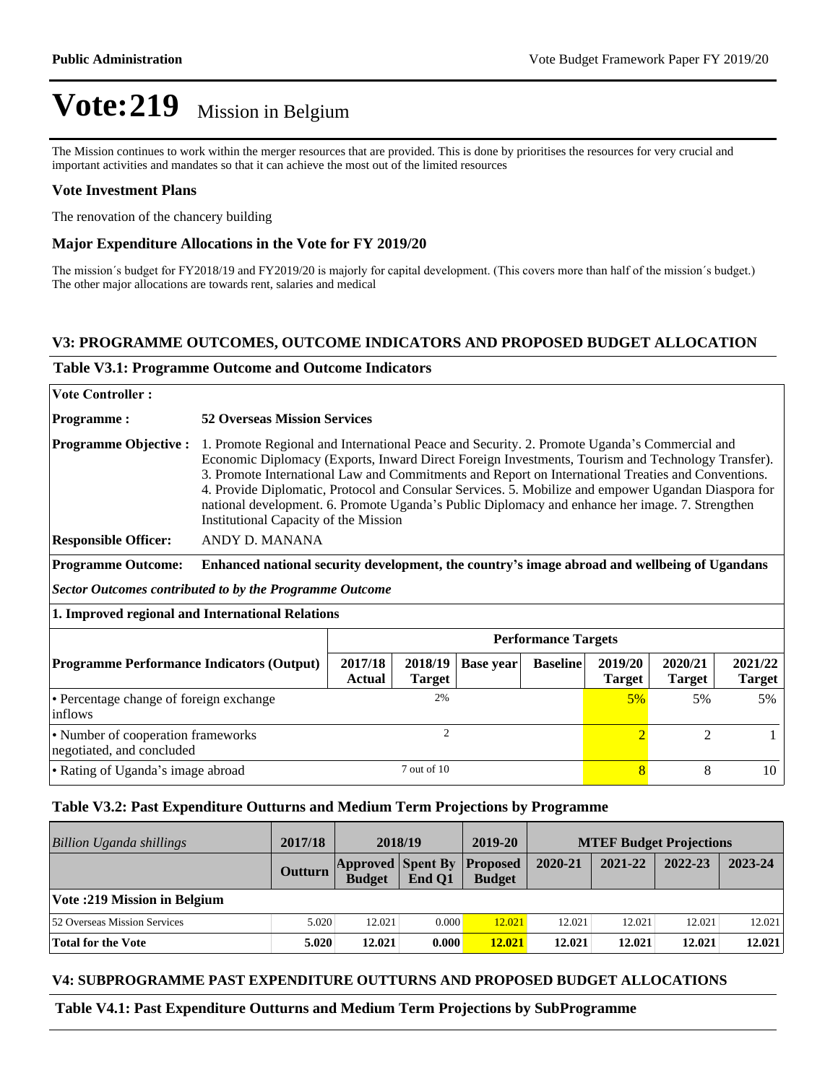The Mission continues to work within the merger resources that are provided. This is done by prioritises the resources for very crucial and important activities and mandates so that it can achieve the most out of the limited resources

#### **Vote Investment Plans**

The renovation of the chancery building

#### **Major Expenditure Allocations in the Vote for FY 2019/20**

The mission's budget for FY2018/19 and FY2019/20 is majorly for capital development. (This covers more than half of the mission's budget.) The other major allocations are towards rent, salaries and medical

#### **V3: PROGRAMME OUTCOMES, OUTCOME INDICATORS AND PROPOSED BUDGET ALLOCATION**

#### **Table V3.1: Programme Outcome and Outcome Indicators**

| <b>Vote Controller:</b>                                         |                                                                                                                                                                                                                                                                                                                                                                                                                                                                                                                                                            |                   |                          |                  |                            |                          |                          |                          |
|-----------------------------------------------------------------|------------------------------------------------------------------------------------------------------------------------------------------------------------------------------------------------------------------------------------------------------------------------------------------------------------------------------------------------------------------------------------------------------------------------------------------------------------------------------------------------------------------------------------------------------------|-------------------|--------------------------|------------------|----------------------------|--------------------------|--------------------------|--------------------------|
| <b>Programme:</b>                                               | <b>52 Overseas Mission Services</b>                                                                                                                                                                                                                                                                                                                                                                                                                                                                                                                        |                   |                          |                  |                            |                          |                          |                          |
| <b>Programme Objective:</b>                                     | 1. Promote Regional and International Peace and Security. 2. Promote Uganda's Commercial and<br>Economic Diplomacy (Exports, Inward Direct Foreign Investments, Tourism and Technology Transfer).<br>3. Promote International Law and Commitments and Report on International Treaties and Conventions.<br>4. Provide Diplomatic, Protocol and Consular Services. 5. Mobilize and empower Ugandan Diaspora for<br>national development. 6. Promote Uganda's Public Diplomacy and enhance her image. 7. Strengthen<br>Institutional Capacity of the Mission |                   |                          |                  |                            |                          |                          |                          |
| <b>Responsible Officer:</b>                                     | ANDY D. MANANA                                                                                                                                                                                                                                                                                                                                                                                                                                                                                                                                             |                   |                          |                  |                            |                          |                          |                          |
| <b>Programme Outcome:</b>                                       | Enhanced national security development, the country's image abroad and wellbeing of Ugandans                                                                                                                                                                                                                                                                                                                                                                                                                                                               |                   |                          |                  |                            |                          |                          |                          |
| <b>Sector Outcomes contributed to by the Programme Outcome</b>  |                                                                                                                                                                                                                                                                                                                                                                                                                                                                                                                                                            |                   |                          |                  |                            |                          |                          |                          |
| 1. Improved regional and International Relations                |                                                                                                                                                                                                                                                                                                                                                                                                                                                                                                                                                            |                   |                          |                  |                            |                          |                          |                          |
|                                                                 |                                                                                                                                                                                                                                                                                                                                                                                                                                                                                                                                                            |                   |                          |                  | <b>Performance Targets</b> |                          |                          |                          |
| <b>Programme Performance Indicators (Output)</b>                |                                                                                                                                                                                                                                                                                                                                                                                                                                                                                                                                                            | 2017/18<br>Actual | 2018/19<br><b>Target</b> | <b>Base year</b> | <b>Baseline</b>            | 2019/20<br><b>Target</b> | 2020/21<br><b>Target</b> | 2021/22<br><b>Target</b> |
| • Percentage change of foreign exchange<br>inflows              |                                                                                                                                                                                                                                                                                                                                                                                                                                                                                                                                                            | 2%                |                          |                  | $5\%$                      | 5%                       | 5%                       |                          |
| • Number of cooperation frameworks<br>negotiated, and concluded |                                                                                                                                                                                                                                                                                                                                                                                                                                                                                                                                                            | $\overline{c}$    |                          |                  |                            | $\overline{2}$           | $\overline{2}$           | $\mathbf{1}$             |
| • Rating of Uganda's image abroad                               |                                                                                                                                                                                                                                                                                                                                                                                                                                                                                                                                                            | 7 out of 10       |                          |                  | $\overline{8}$             | 8                        | 10                       |                          |

#### **Table V3.2: Past Expenditure Outturns and Medium Term Projections by Programme**

| <b>Billion Uganda shillings</b>     | 2017/18        | 2018/19                                   |        | 2019-20                          | <b>MTEF Budget Projections</b> |         |         |         |
|-------------------------------------|----------------|-------------------------------------------|--------|----------------------------------|--------------------------------|---------|---------|---------|
|                                     | <b>Outturn</b> | <b>Approved Spent By</b><br><b>Budget</b> | End O1 | <b>Proposed</b><br><b>Budget</b> | 2020-21                        | 2021-22 | 2022-23 | 2023-24 |
| Vote: 219 Mission in Belgium        |                |                                           |        |                                  |                                |         |         |         |
| <b>52 Overseas Mission Services</b> | 5.020          | 12.021                                    | 0.000  | 12.021                           | 12.021                         | 12.021  | 12.021  | 12.021  |
| Total for the Vote                  | 5.020          | 12.021                                    | 0.000  | 12.021                           | 12.021                         | 12.021  | 12.021  | 12.021  |

#### **V4: SUBPROGRAMME PAST EXPENDITURE OUTTURNS AND PROPOSED BUDGET ALLOCATIONS**

**Table V4.1: Past Expenditure Outturns and Medium Term Projections by SubProgramme**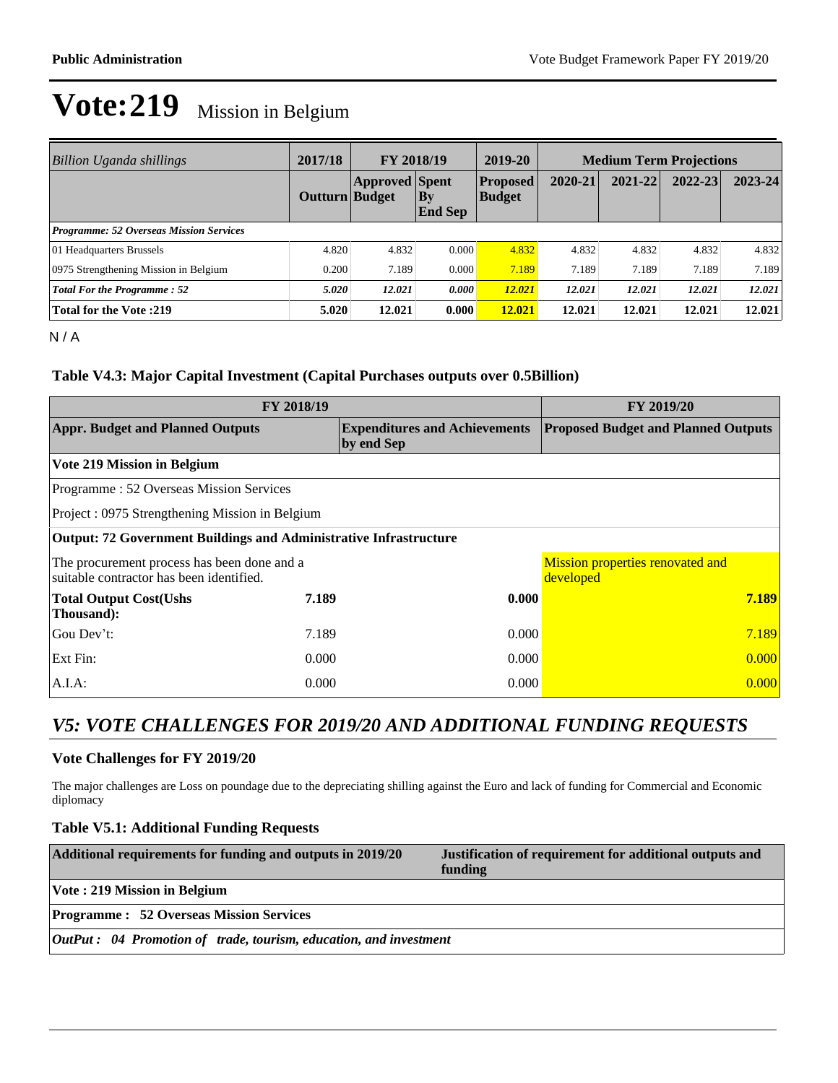| <b>Billion Uganda shillings</b>                | 2017/18        | FY 2018/19            |                          | 2019-20                          |         | <b>Medium Term Projections</b> |             |             |
|------------------------------------------------|----------------|-----------------------|--------------------------|----------------------------------|---------|--------------------------------|-------------|-------------|
|                                                | Outturn Budget | <b>Approved Spent</b> | $ $ By<br><b>End Sep</b> | <b>Proposed</b><br><b>Budget</b> | 2020-21 | 2021-22                        | $2022 - 23$ | $2023 - 24$ |
| <b>Programme: 52 Overseas Mission Services</b> |                |                       |                          |                                  |         |                                |             |             |
| 01 Headquarters Brussels                       | 4.820          | 4.832                 | 0.000                    | 4.832                            | 4.832   | 4.832                          | 4.832       | 4.832       |
| 0975 Strengthening Mission in Belgium          | 0.200          | 7.189                 | 0.000                    | 7.189                            | 7.189   | 7.189                          | 7.189       | 7.189       |
| <b>Total For the Programme: 52</b>             | 5.020          | 12.021                | 0.000                    | 12.021                           | 12.021  | 12.021                         | 12.021      | 12.021      |
| <b>Total for the Vote:219</b>                  | 5.020          | 12.021                | 0.000                    | 12.021                           | 12.021  | 12.021                         | 12.021      | 12.021      |

N / A

#### **Table V4.3: Major Capital Investment (Capital Purchases outputs over 0.5Billion)**

| FY 2018/19                                                                              | FY 2019/20 |                                      |                                               |  |  |  |
|-----------------------------------------------------------------------------------------|------------|--------------------------------------|-----------------------------------------------|--|--|--|
| <b>Appr. Budget and Planned Outputs</b>                                                 | by end Sep | <b>Expenditures and Achievements</b> | <b>Proposed Budget and Planned Outputs</b>    |  |  |  |
| <b>Vote 219 Mission in Belgium</b>                                                      |            |                                      |                                               |  |  |  |
| Programme: 52 Overseas Mission Services                                                 |            |                                      |                                               |  |  |  |
| Project: 0975 Strengthening Mission in Belgium                                          |            |                                      |                                               |  |  |  |
| <b>Output: 72 Government Buildings and Administrative Infrastructure</b>                |            |                                      |                                               |  |  |  |
| The procurement process has been done and a<br>suitable contractor has been identified. |            |                                      | Mission properties renovated and<br>developed |  |  |  |
| <b>Total Output Cost(Ushs</b><br>Thousand):                                             | 7.189      | 0.000                                | 7.189                                         |  |  |  |
| Gou Dev't:                                                                              | 7.189      | 0.000                                | 7.189                                         |  |  |  |
| Ext Fin:                                                                                | 0.000      | 0.000                                | 0.000                                         |  |  |  |
| $A.I.A$ :                                                                               | 0.000      | 0.000                                | 0.000                                         |  |  |  |

### *V5: VOTE CHALLENGES FOR 2019/20 AND ADDITIONAL FUNDING REQUESTS*

#### **Vote Challenges for FY 2019/20**

The major challenges are Loss on poundage due to the depreciating shilling against the Euro and lack of funding for Commercial and Economic diplomacy

#### **Table V5.1: Additional Funding Requests**

| Additional requirements for funding and outputs in 2019/20                | Justification of requirement for additional outputs and<br>funding |
|---------------------------------------------------------------------------|--------------------------------------------------------------------|
| Vote: 219 Mission in Belgium                                              |                                                                    |
| <b>Programme : 52 Overseas Mission Services</b>                           |                                                                    |
| <b>OutPut</b> : 04 Promotion of trade, tourism, education, and investment |                                                                    |